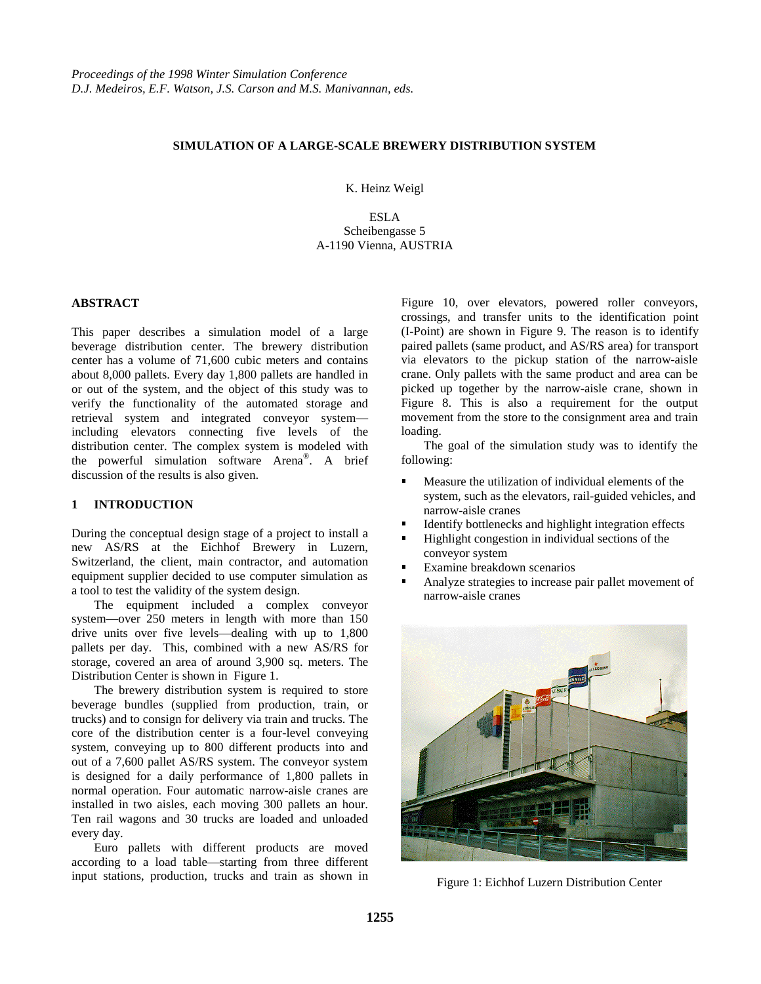# **SIMULATION OF A LARGE-SCALE BREWERY DISTRIBUTION SYSTEM**

K. Heinz Weigl

ESLA Scheibengasse 5 A-1190 Vienna, AUSTRIA

## **ABSTRACT**

This paper describes a simulation model of a large beverage distribution center. The brewery distribution center has a volume of 71,600 cubic meters and contains about 8,000 pallets. Every day 1,800 pallets are handled in or out of the system, and the object of this study was to verify the functionality of the automated storage and retrieval system and integrated conveyor system including elevators connecting five levels of the distribution center. The complex system is modeled with the powerful simulation software Arena®. A brief discussion of the results is also given.

## **1 INTRODUCTION**

During the conceptual design stage of a project to install a new AS/RS at the Eichhof Brewery in Luzern, Switzerland, the client, main contractor, and automation equipment supplier decided to use computer simulation as a tool to test the validity of the system design.

The equipment included a complex conveyor system—over 250 meters in length with more than 150 drive units over five levels—dealing with up to 1,800 pallets per day. This, combined with a new AS/RS for storage, covered an area of around 3,900 sq. meters. The Distribution Center is shown in Figure 1.

The brewery distribution system is required to store beverage bundles (supplied from production, train, or trucks) and to consign for delivery via train and trucks. The core of the distribution center is a four-level conveying system, conveying up to 800 different products into and out of a 7,600 pallet AS/RS system. The conveyor system is designed for a daily performance of 1,800 pallets in normal operation. Four automatic narrow-aisle cranes are installed in two aisles, each moving 300 pallets an hour. Ten rail wagons and 30 trucks are loaded and unloaded every day.

Euro pallets with different products are moved according to a load table—starting from three different input stations, production, trucks and train as shown in

Figure 10, over elevators, powered roller conveyors, crossings, and transfer units to the identification point (I-Point) are shown in Figure 9. The reason is to identify paired pallets (same product, and AS/RS area) for transport via elevators to the pickup station of the narrow-aisle crane. Only pallets with the same product and area can be picked up together by the narrow-aisle crane, shown in Figure 8. This is also a requirement for the output movement from the store to the consignment area and train loading.

The goal of the simulation study was to identify the following:

- Measure the utilization of individual elements of the system, such as the elevators, rail-guided vehicles, and narrow-aisle cranes
- Identify bottlenecks and highlight integration effects ŗ
- Highlight congestion in individual sections of the conveyor system
- Examine breakdown scenarios י
- Analyze strategies to increase pair pallet movement of narrow-aisle cranes



Figure 1: Eichhof Luzern Distribution Center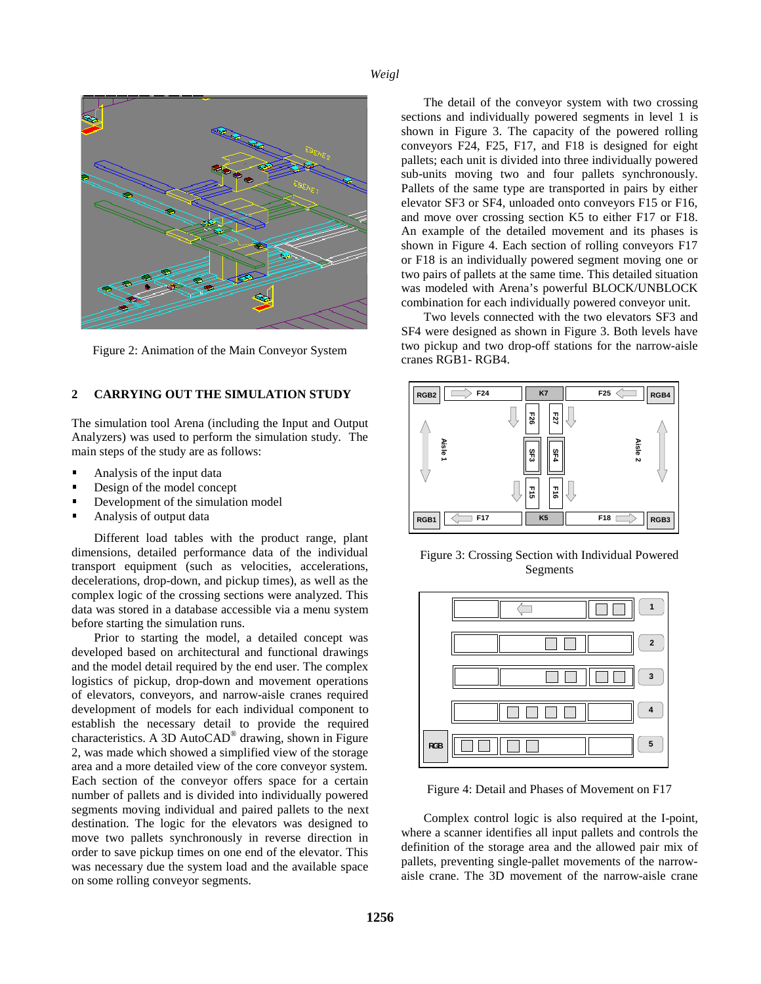

Figure 2: Animation of the Main Conveyor System

### **2 CARRYING OUT THE SIMULATION STUDY**

The simulation tool Arena (including the Input and Output Analyzers) was used to perform the simulation study. The main steps of the study are as follows:

- Analysis of the input data I
- Design of the model concept I
- Development of the simulation model Ī
- Analysis of output data

Different load tables with the product range, plant dimensions, detailed performance data of the individual transport equipment (such as velocities, accelerations, decelerations, drop-down, and pickup times), as well as the complex logic of the crossing sections were analyzed. This data was stored in a database accessible via a menu system before starting the simulation runs.

Prior to starting the model, a detailed concept was developed based on architectural and functional drawings and the model detail required by the end user. The complex logistics of pickup, drop-down and movement operations of elevators, conveyors, and narrow-aisle cranes required development of models for each individual component to establish the necessary detail to provide the required characteristics. A 3D AutoCAD® drawing, shown in Figure 2, was made which showed a simplified view of the storage area and a more detailed view of the core conveyor system. Each section of the conveyor offers space for a certain number of pallets and is divided into individually powered segments moving individual and paired pallets to the next destination. The logic for the elevators was designed to move two pallets synchronously in reverse direction in order to save pickup times on one end of the elevator. This was necessary due the system load and the available space on some rolling conveyor segments.

The detail of the conveyor system with two crossing sections and individually powered segments in level 1 is shown in Figure 3. The capacity of the powered rolling conveyors F24, F25, F17, and F18 is designed for eight pallets; each unit is divided into three individually powered sub-units moving two and four pallets synchronously. Pallets of the same type are transported in pairs by either elevator SF3 or SF4, unloaded onto conveyors F15 or F16, and move over crossing section K5 to either F17 or F18. An example of the detailed movement and its phases is shown in Figure 4. Each section of rolling conveyors F17 or F18 is an individually powered segment moving one or two pairs of pallets at the same time. This detailed situation was modeled with Arena's powerful BLOCK/UNBLOCK combination for each individually powered conveyor unit.

Two levels connected with the two elevators SF3 and SF4 were designed as shown in Figure 3. Both levels have two pickup and two drop-off stations for the narrow-aisle cranes RGB1- RGB4.



Figure 3: Crossing Section with Individual Powered Segments



Figure 4: Detail and Phases of Movement on F17

Complex control logic is also required at the I-point, where a scanner identifies all input pallets and controls the definition of the storage area and the allowed pair mix of pallets, preventing single-pallet movements of the narrowaisle crane. The 3D movement of the narrow-aisle crane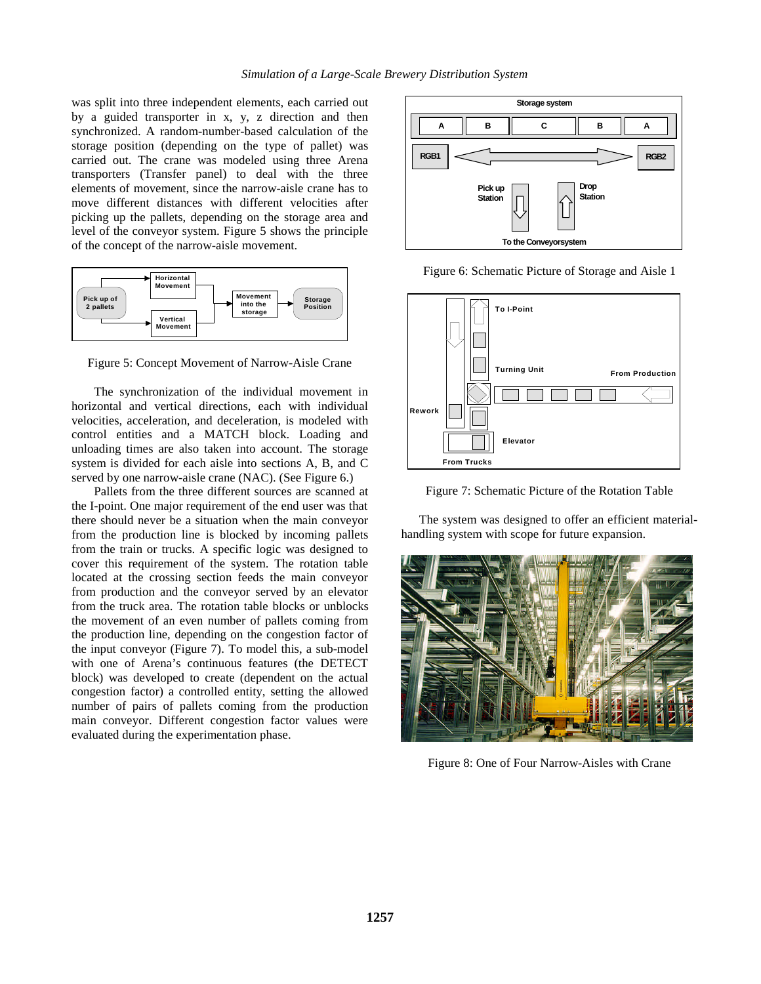was split into three independent elements, each carried out by a guided transporter in x, y, z direction and then synchronized. A random-number-based calculation of the storage position (depending on the type of pallet) was carried out. The crane was modeled using three Arena transporters (Transfer panel) to deal with the three elements of movement, since the narrow-aisle crane has to move different distances with different velocities after picking up the pallets, depending on the storage area and level of the conveyor system. Figure 5 shows the principle of the concept of the narrow-aisle movement.



Figure 5: Concept Movement of Narrow-Aisle Crane

The synchronization of the individual movement in horizontal and vertical directions, each with individual velocities, acceleration, and deceleration, is modeled with control entities and a MATCH block. Loading and unloading times are also taken into account. The storage system is divided for each aisle into sections A, B, and C served by one narrow-aisle crane (NAC). (See Figure 6.)

Pallets from the three different sources are scanned at the I-point. One major requirement of the end user was that there should never be a situation when the main conveyor from the production line is blocked by incoming pallets from the train or trucks. A specific logic was designed to cover this requirement of the system. The rotation table located at the crossing section feeds the main conveyor from production and the conveyor served by an elevator from the truck area. The rotation table blocks or unblocks the movement of an even number of pallets coming from the production line, depending on the congestion factor of the input conveyor (Figure 7). To model this, a sub-model with one of Arena's continuous features (the DETECT block) was developed to create (dependent on the actual congestion factor) a controlled entity, setting the allowed number of pairs of pallets coming from the production main conveyor. Different congestion factor values were evaluated during the experimentation phase.



Figure 6: Schematic Picture of Storage and Aisle 1



Figure 7: Schematic Picture of the Rotation Table

The system was designed to offer an efficient materialhandling system with scope for future expansion.



Figure 8: One of Four Narrow-Aisles with Crane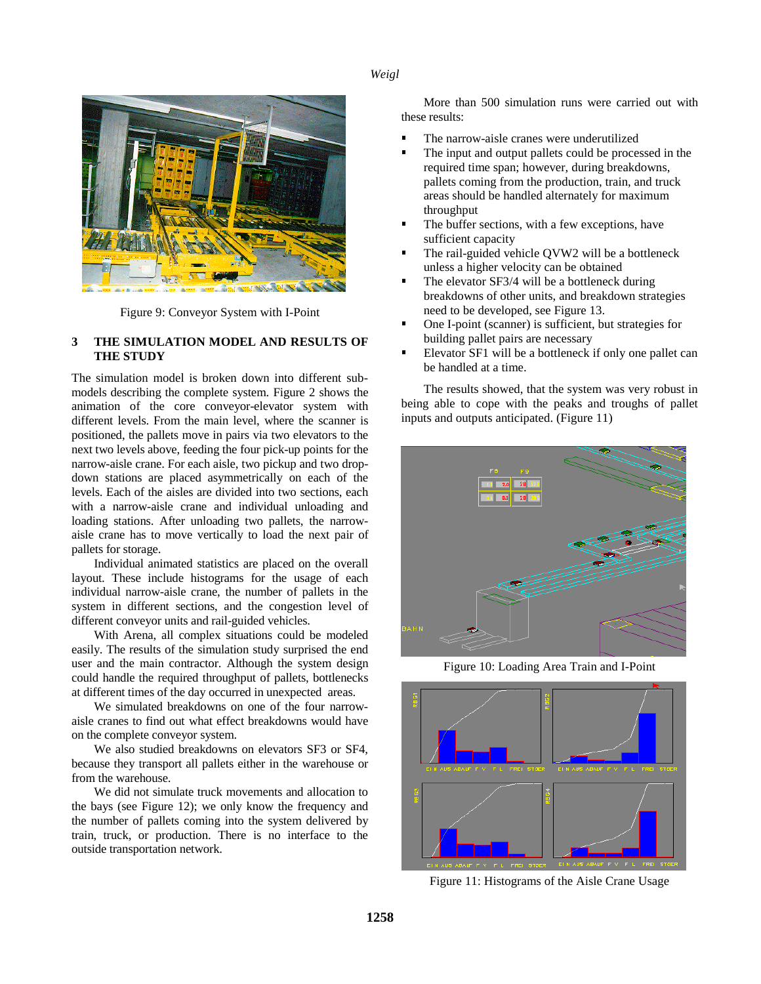

Figure 9: Conveyor System with I-Point

## **3 THE SIMULATION MODEL AND RESULTS OF THE STUDY**

The simulation model is broken down into different submodels describing the complete system. Figure 2 shows the animation of the core conveyor-elevator system with different levels. From the main level, where the scanner is positioned, the pallets move in pairs via two elevators to the next two levels above, feeding the four pick-up points for the narrow-aisle crane. For each aisle, two pickup and two dropdown stations are placed asymmetrically on each of the levels. Each of the aisles are divided into two sections, each with a narrow-aisle crane and individual unloading and loading stations. After unloading two pallets, the narrowaisle crane has to move vertically to load the next pair of pallets for storage.

Individual animated statistics are placed on the overall layout. These include histograms for the usage of each individual narrow-aisle crane, the number of pallets in the system in different sections, and the congestion level of different conveyor units and rail-guided vehicles.

With Arena, all complex situations could be modeled easily. The results of the simulation study surprised the end user and the main contractor. Although the system design could handle the required throughput of pallets, bottlenecks at different times of the day occurred in unexpected areas.

We simulated breakdowns on one of the four narrowaisle cranes to find out what effect breakdowns would have on the complete conveyor system.

We also studied breakdowns on elevators SF3 or SF4, because they transport all pallets either in the warehouse or from the warehouse.

We did not simulate truck movements and allocation to the bays (see Figure 12); we only know the frequency and the number of pallets coming into the system delivered by train, truck, or production. There is no interface to the outside transportation network.

More than 500 simulation runs were carried out with these results:

- The narrow-aisle cranes were underutilized י
- The input and output pallets could be processed in the required time span; however, during breakdowns, pallets coming from the production, train, and truck areas should be handled alternately for maximum throughput
- The buffer sections, with a few exceptions, have sufficient capacity
- The rail-guided vehicle QVW2 will be a bottleneck unless a higher velocity can be obtained
- The elevator SF3/4 will be a bottleneck during breakdowns of other units, and breakdown strategies need to be developed, see Figure 13.
- One I-point (scanner) is sufficient, but strategies for building pallet pairs are necessary
- Elevator SF1 will be a bottleneck if only one pallet can be handled at a time.

The results showed, that the system was very robust in being able to cope with the peaks and troughs of pallet inputs and outputs anticipated. (Figure 11)



Figure 10: Loading Area Train and I-Point



Figure 11: Histograms of the Aisle Crane Usage